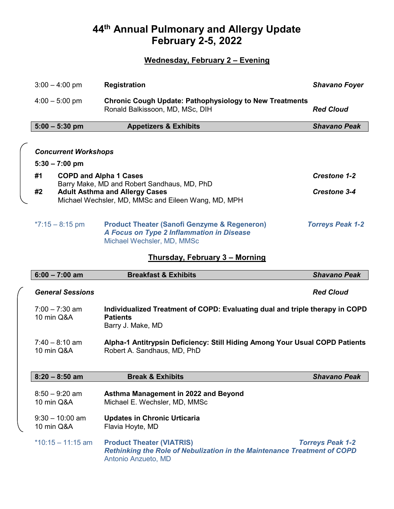# **44th Annual Pulmonary and Allergy Update February 2-5, 2022**

## **Wednesday, February 2 – Evening**

| $3:00 - 4:00$ pm                                | <b>Registration</b>                                                                                                                | <b>Shavano Foyer</b>    |
|-------------------------------------------------|------------------------------------------------------------------------------------------------------------------------------------|-------------------------|
| $4:00 - 5:00$ pm                                | <b>Chronic Cough Update: Pathophysiology to New Treatments</b><br>Ronald Balkissoon, MD, MSc, DIH                                  | <b>Red Cloud</b>        |
| $5:00 - 5:30$ pm                                | <b>Appetizers &amp; Exhibits</b>                                                                                                   | <b>Shavano Peak</b>     |
| <b>Concurrent Workshops</b><br>$5:30 - 7:00$ pm |                                                                                                                                    |                         |
| #1<br><b>COPD and Alpha 1 Cases</b>             |                                                                                                                                    | <b>Crestone 1-2</b>     |
| #2                                              | Barry Make, MD and Robert Sandhaus, MD, PhD<br><b>Adult Asthma and Allergy Cases</b>                                               | <b>Crestone 3-4</b>     |
|                                                 | Michael Wechsler, MD, MMSc and Eileen Wang, MD, MPH                                                                                |                         |
| $*7:15 - 8:15$ pm                               | <b>Product Theater (Sanofi Genzyme &amp; Regeneron)</b><br>A Focus on Type 2 Inflammation in Disease<br>Michael Wechsler, MD, MMSc | <b>Torreys Peak 1-2</b> |
|                                                 | <u>Thursday, February 3 – Morning</u>                                                                                              |                         |
| $6:00 - 7:00$ am                                | <b>Breakfast &amp; Exhibits</b>                                                                                                    | <b>Shavano Peak</b>     |
| <b>General Sessions</b>                         |                                                                                                                                    | <b>Red Cloud</b>        |

## 7:00 – 7:30 am **Individualized Treatment of COPD: Evaluating dual and triple therapy in COPD**  10 min Q&A **Patients** Barry J. Make, MD

7:40 – 8:10 am **Alpha-1 Antitrypsin Deficiency: Still Hiding Among Your Usual COPD Patients** Robert A. Sandhaus, MD, PhD

| $8:20 - 8:50$ am                | <b>Break &amp; Exhibits</b>                                                                                                         | <b>Shavano Peak</b>     |
|---------------------------------|-------------------------------------------------------------------------------------------------------------------------------------|-------------------------|
| $8:50 - 9:20$ am<br>10 min Q&A  | Asthma Management in 2022 and Beyond<br>Michael E. Wechsler, MD, MMSc                                                               |                         |
| $9:30 - 10:00$ am<br>10 min Q&A | <b>Updates in Chronic Urticaria</b><br>Flavia Hoyte, MD                                                                             |                         |
| $*10:15 - 11:15$ am             | <b>Product Theater (VIATRIS)</b><br>Rethinking the Role of Nebulization in the Maintenance Treatment of COPD<br>Antonio Anzueto, MD | <b>Torreys Peak 1-2</b> |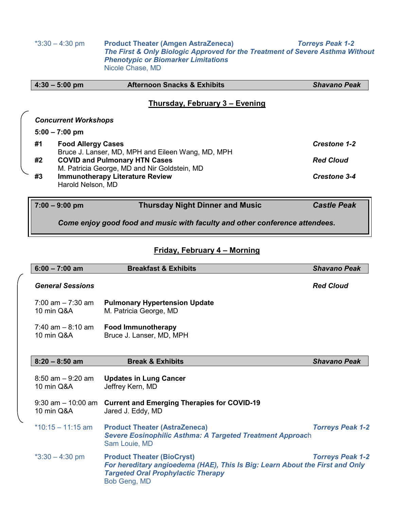\*3:30 – 4:30 pm **Product Theater (Amgen AstraZeneca)** *Torreys Peak 1-2 The First & Only Biologic Approved for the Treatment of Severe Asthma Without Phenotypic or Biomarker Limitations* Nicole Chase, MD

|    | $4:30 - 5:00$ pm                                                                                                                                                                                               | <b>Afternoon Snacks &amp; Exhibits</b> | <b>Shavano Peak</b> |
|----|----------------------------------------------------------------------------------------------------------------------------------------------------------------------------------------------------------------|----------------------------------------|---------------------|
|    |                                                                                                                                                                                                                | Thursday, February 3 – Evening         |                     |
|    | <b>Concurrent Workshops</b>                                                                                                                                                                                    |                                        |                     |
|    | $5:00 - 7:00$ pm                                                                                                                                                                                               |                                        |                     |
| #1 | <b>Food Allergy Cases</b>                                                                                                                                                                                      |                                        | <b>Crestone 1-2</b> |
| #2 | Bruce J. Lanser, MD, MPH and Eileen Wang, MD, MPH<br><b>COVID and Pulmonary HTN Cases</b><br>M. Patricia George, MD and Nir Goldstein, MD<br><b>Immunotherapy Literature Review</b><br>#3<br>Harold Nelson, MD |                                        | <b>Red Cloud</b>    |
|    |                                                                                                                                                                                                                |                                        | <b>Crestone 3-4</b> |
|    | $7:00 - 9:00$ pm                                                                                                                                                                                               | <b>Thursday Night Dinner and Music</b> | <b>Castle Peak</b>  |

*Come enjoy good food and music with faculty and other conference attendees.*

## **Friday, February 4 – Morning**

| $6:00 - 7:00$ am                   | <b>Breakfast &amp; Exhibits</b>                                                                                                                                                | <b>Shavano Peak</b>     |
|------------------------------------|--------------------------------------------------------------------------------------------------------------------------------------------------------------------------------|-------------------------|
| <b>General Sessions</b>            |                                                                                                                                                                                | <b>Red Cloud</b>        |
| $7:00$ am $-7:30$ am<br>10 min Q&A | <b>Pulmonary Hypertension Update</b><br>M. Patricia George, MD                                                                                                                 |                         |
| $7:40$ am $-8:10$ am<br>10 min Q&A | <b>Food Immunotherapy</b><br>Bruce J. Lanser, MD, MPH                                                                                                                          |                         |
| $8:20 - 8:50$ am                   | <b>Break &amp; Exhibits</b>                                                                                                                                                    | <b>Shavano Peak</b>     |
| $8:50$ am $-9:20$ am<br>10 min Q&A | <b>Updates in Lung Cancer</b><br>Jeffrey Kern, MD                                                                                                                              |                         |
| 10 min Q&A                         | 9:30 am - 10:00 am Current and Emerging Therapies for COVID-19<br>Jared J. Eddy, MD                                                                                            |                         |
| $*10:15 - 11:15$ am                | <b>Product Theater (AstraZeneca)</b><br>Severe Eosinophilic Asthma: A Targeted Treatment Approach<br>Sam Louie, MD                                                             | <b>Torreys Peak 1-2</b> |
| $*3:30 - 4:30$ pm                  | <b>Product Theater (BioCryst)</b><br>For hereditary angioedema (HAE), This Is Big: Learn About the First and Only<br><b>Targeted Oral Prophylactic Therapy</b><br>Bob Geng, MD | <b>Torreys Peak 1-2</b> |